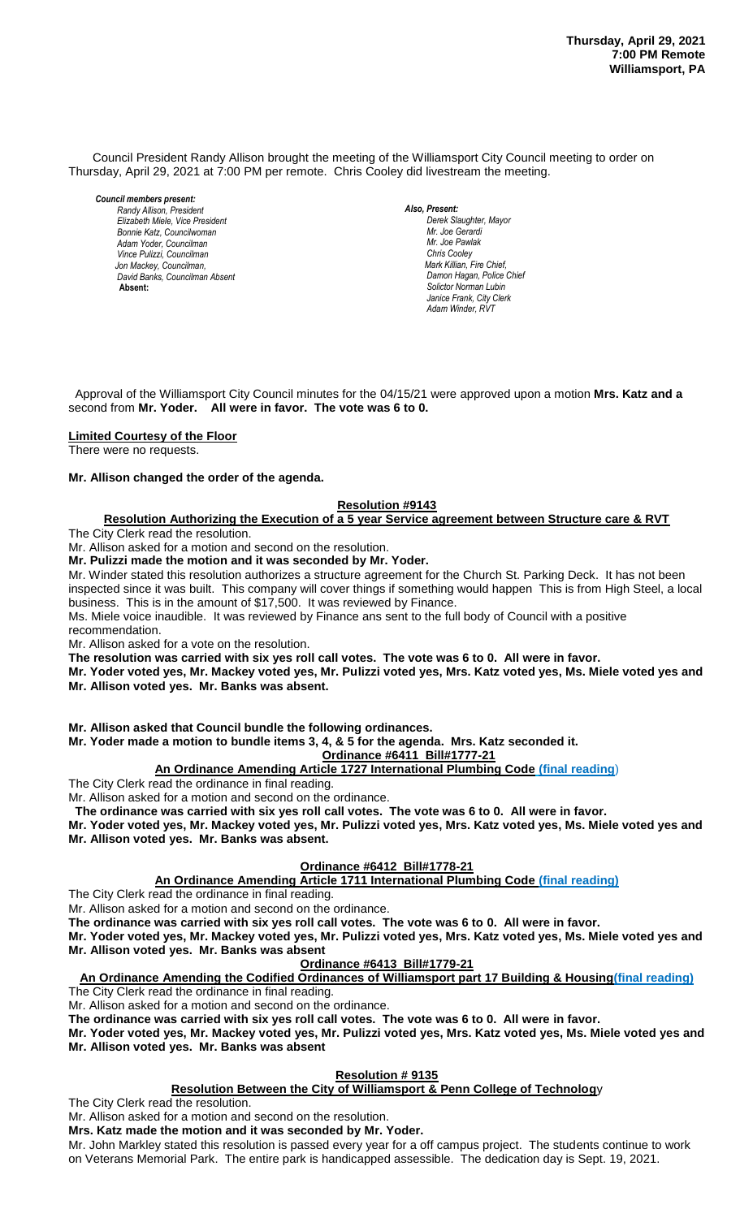Council President Randy Allison brought the meeting of the Williamsport City Council meeting to order on Thursday, April 29, 2021 at 7:00 PM per remote. Chris Cooley did livestream the meeting.

*Council members present:*

*Randy Allison, President , President Elizabeth Miele, Vice President Bill Hall, Councilman Bonnie Katz, Councilwoman Adam Yoder, Councilman Vince Pulizzi, Councilman Jon Mackey, Councilman, David Banks, Councilman Absent*  **Absent:** 

*Also, Present: Derek Slaughter, Mayor Mr. William Nichols, Jr. Mr. Joe Gerardi Mr. Joseph Pawlak Mr. Joe Pawlak Chris Cooley Mark Killian, Fire Chief,* **Damon Hagan, Police Chief** *Solictor Norman Lubin Janice Frank, City Clerk Adam Winder, RVT* 

 Approval of the Williamsport City Council minutes for the 04/15/21 were approved upon a motion **Mrs. Katz and a** second from **Mr. Yoder. All were in favor. The vote was 6 to 0.** 

**Limited Courtesy of the Floor**

There were no requests.

#### **Mr. Allison changed the order of the agenda.**

#### **Resolution #9143** *Janice Frank, City Clerk, absent*

<u>Resolution #9143 . In the Execution of a 5 year Service agreement between Structure care & RVT</u><br>Resolution Authorizing the Execution of a 5 year Service agreement between Structure care & RVT

The City Clerk read the resolution.

Mr. Allison asked for a motion and second on the resolution.

**Mr. Pulizzi made the motion and it was seconded by Mr. Yoder.**

Mr. Winder stated this resolution authorizes a structure agreement for the Church St. Parking Deck. It has not been inspected since it was built. This company will cover things if something would happen This is from High Steel, a local meperson since it that state that the company interest allege concentrating its also happen business. This is in the amount of \$17,500. It was reviewed by Finance.

business. This is in the amount of  $\frac{1}{2}17,300$ . It was reviewed by Finance.<br>Ms. Miele voice inaudible. It was reviewed by Finance ans sent to the full body of Council with a positive recommendation.

Mr. Allison asked for a vote on the resolution.

**The resolution was carried with six yes roll call votes. The vote was 6 to 0. All were in favor.**

**Mr. Yoder voted yes, Mr. Mackey voted yes, Mr. Pulizzi voted yes, Mrs. Katz voted yes, Ms. Miele voted yes and Mr. Allison voted yes. Mr. Banks was absent.**

**Mr. Allison asked that Council bundle the following ordinances.**

**Mr. Yoder made a motion to bundle items 3, 4, & 5 for the agenda. Mrs. Katz seconded it.**

**Ordinance #6411 Bill#1777-21**

## **An Ordinance Amending Article 1727 International Plumbing Code (final reading**)

The City Clerk read the ordinance in final reading.

Mr. Allison asked for a motion and second on the ordinance.

**The ordinance was carried with six yes roll call votes. The vote was 6 to 0. All were in favor.**

**Mr. Yoder voted yes, Mr. Mackey voted yes, Mr. Pulizzi voted yes, Mrs. Katz voted yes, Ms. Miele voted yes and Mr. Allison voted yes. Mr. Banks was absent.** 

## **Ordinance #6412 Bill#1778-21**

**An Ordinance Amending Article 1711 International Plumbing Code (final reading)**

The City Clerk read the ordinance in final reading.

Mr. Allison asked for a motion and second on the ordinance.

**The ordinance was carried with six yes roll call votes. The vote was 6 to 0. All were in favor.**

**Mr. Yoder voted yes, Mr. Mackey voted yes, Mr. Pulizzi voted yes, Mrs. Katz voted yes, Ms. Miele voted yes and Mr. Allison voted yes. Mr. Banks was absent**

## **Ordinance #6413 Bill#1779-21**

**An Ordinance Amending the Codified Ordinances of Williamsport part 17 Building & Housing(final reading)** The City Clerk read the ordinance in final reading.

Mr. Allison asked for a motion and second on the ordinance.

**The ordinance was carried with six yes roll call votes. The vote was 6 to 0. All were in favor.**

**Mr. Yoder voted yes, Mr. Mackey voted yes, Mr. Pulizzi voted yes, Mrs. Katz voted yes, Ms. Miele voted yes and Mr. Allison voted yes. Mr. Banks was absent**

## **Resolution # 9135**

**Resolution Between the City of Williamsport & Penn College of Technolog**y

The City Clerk read the resolution.

Mr. Allison asked for a motion and second on the resolution.

**Mrs. Katz made the motion and it was seconded by Mr. Yoder.**

Mr. John Markley stated this resolution is passed every year for a off campus project. The students continue to work on Veterans Memorial Park. The entire park is handicapped assessible. The dedication day is Sept. 19, 2021.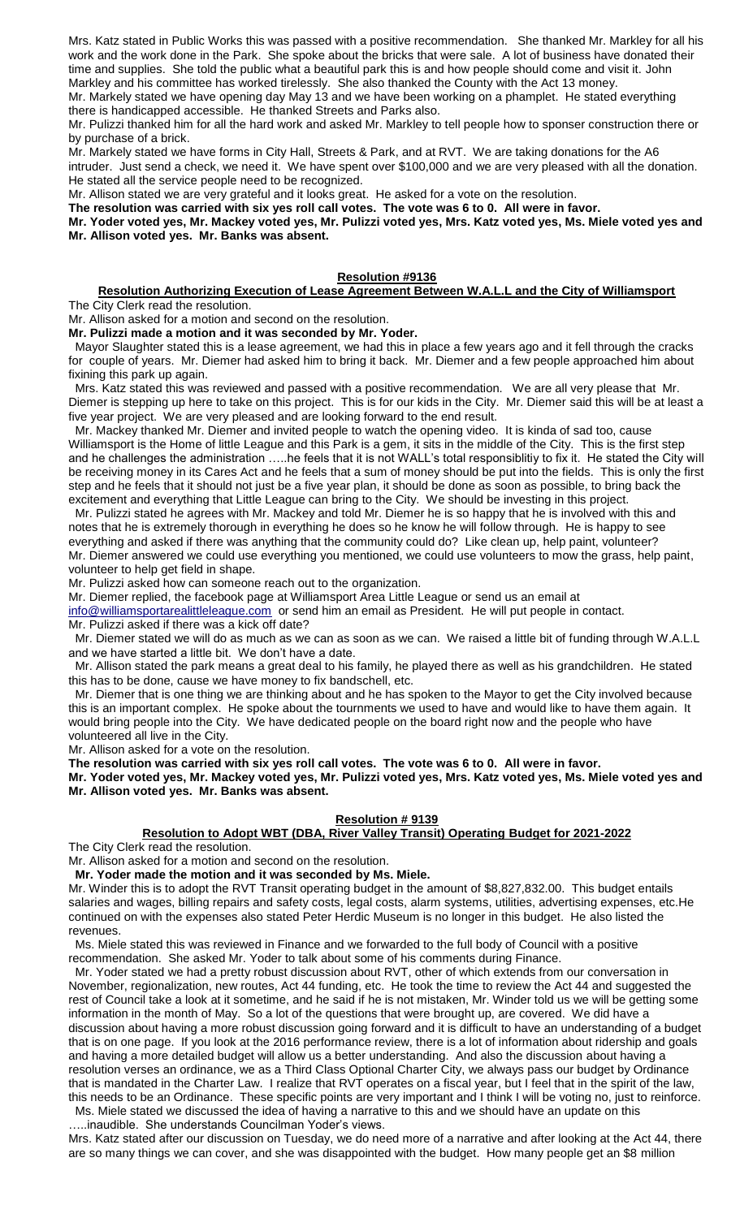Mrs. Katz stated in Public Works this was passed with a positive recommendation. She thanked Mr. Markley for all his work and the work done in the Park. She spoke about the bricks that were sale. A lot of business have donated their time and supplies. She told the public what a beautiful park this is and how people should come and visit it. John Markley and his committee has worked tirelessly. She also thanked the County with the Act 13 money.

Mr. Markely stated we have opening day May 13 and we have been working on a phamplet. He stated everything there is handicapped accessible. He thanked Streets and Parks also.

Mr. Pulizzi thanked him for all the hard work and asked Mr. Markley to tell people how to sponser construction there or by purchase of a brick.

Mr. Markely stated we have forms in City Hall, Streets & Park, and at RVT. We are taking donations for the A6 intruder. Just send a check, we need it. We have spent over \$100,000 and we are very pleased with all the donation. He stated all the service people need to be recognized.

Mr. Allison stated we are very grateful and it looks great. He asked for a vote on the resolution.

**The resolution was carried with six yes roll call votes. The vote was 6 to 0. All were in favor.**

**Mr. Yoder voted yes, Mr. Mackey voted yes, Mr. Pulizzi voted yes, Mrs. Katz voted yes, Ms. Miele voted yes and Mr. Allison voted yes. Mr. Banks was absent.** 

### **Resolution #9136**

**Resolution Authorizing Execution of Lease Agreement Between W.A.L.L and the City of Williamsport** The City Clerk read the resolution.

Mr. Allison asked for a motion and second on the resolution. **Mr. Pulizzi made a motion and it was seconded by Mr. Yoder.**

 Mayor Slaughter stated this is a lease agreement, we had this in place a few years ago and it fell through the cracks for couple of years. Mr. Diemer had asked him to bring it back. Mr. Diemer and a few people approached him about fixining this park up again.

 Mrs. Katz stated this was reviewed and passed with a positive recommendation. We are all very please that Mr. Diemer is stepping up here to take on this project. This is for our kids in the City. Mr. Diemer said this will be at least a five year project. We are very pleased and are looking forward to the end result.

 Mr. Mackey thanked Mr. Diemer and invited people to watch the opening video. It is kinda of sad too, cause Williamsport is the Home of little League and this Park is a gem, it sits in the middle of the City. This is the first step and he challenges the administration .....he feels that it is not WALL's total responsiblitiy to fix it. He stated the City will be receiving money in its Cares Act and he feels that a sum of money should be put into the fields. This is only the first step and he feels that it should not just be a five year plan, it should be done as soon as possible, to bring back the excitement and everything that Little League can bring to the City. We should be investing in this project.

 Mr. Pulizzi stated he agrees with Mr. Mackey and told Mr. Diemer he is so happy that he is involved with this and notes that he is extremely thorough in everything he does so he know he will follow through. He is happy to see everything and asked if there was anything that the community could do? Like clean up, help paint, volunteer? Mr. Diemer answered we could use everything you mentioned, we could use volunteers to mow the grass, help paint, volunteer to help get field in shape.

Mr. Pulizzi asked how can someone reach out to the organization.

Mr. Diemer replied, the facebook page at Williamsport Area Little League or send us an email at

[info@williamsportarealittleleague.com](mailto:info@williamsportarealittleleague.com) or send him an email as President. He will put people in contact. Mr. Pulizzi asked if there was a kick off date?

 Mr. Diemer stated we will do as much as we can as soon as we can. We raised a little bit of funding through W.A.L.L and we have started a little bit. We don't have a date.

 Mr. Allison stated the park means a great deal to his family, he played there as well as his grandchildren. He stated this has to be done, cause we have money to fix bandschell, etc.

 Mr. Diemer that is one thing we are thinking about and he has spoken to the Mayor to get the City involved because this is an important complex. He spoke about the tournments we used to have and would like to have them again. It would bring people into the City. We have dedicated people on the board right now and the people who have volunteered all live in the City.

Mr. Allison asked for a vote on the resolution.

**The resolution was carried with six yes roll call votes. The vote was 6 to 0. All were in favor.**

**Mr. Yoder voted yes, Mr. Mackey voted yes, Mr. Pulizzi voted yes, Mrs. Katz voted yes, Ms. Miele voted yes and Mr. Allison voted yes. Mr. Banks was absent.**

#### **Resolution # 9139**

**Resolution to Adopt WBT (DBA, River Valley Transit) Operating Budget for 2021-2022**

The City Clerk read the resolution.

Mr. Allison asked for a motion and second on the resolution.

 **Mr. Yoder made the motion and it was seconded by Ms. Miele.**

Mr. Winder this is to adopt the RVT Transit operating budget in the amount of \$8,827,832.00. This budget entails salaries and wages, billing repairs and safety costs, legal costs, alarm systems, utilities, advertising expenses, etc.He continued on with the expenses also stated Peter Herdic Museum is no longer in this budget. He also listed the revenues.

 Ms. Miele stated this was reviewed in Finance and we forwarded to the full body of Council with a positive recommendation. She asked Mr. Yoder to talk about some of his comments during Finance.

 Mr. Yoder stated we had a pretty robust discussion about RVT, other of which extends from our conversation in November, regionalization, new routes, Act 44 funding, etc. He took the time to review the Act 44 and suggested the rest of Council take a look at it sometime, and he said if he is not mistaken, Mr. Winder told us we will be getting some information in the month of May. So a lot of the questions that were brought up, are covered. We did have a discussion about having a more robust discussion going forward and it is difficult to have an understanding of a budget that is on one page. If you look at the 2016 performance review, there is a lot of information about ridership and goals and having a more detailed budget will allow us a better understanding. And also the discussion about having a resolution verses an ordinance, we as a Third Class Optional Charter City, we always pass our budget by Ordinance that is mandated in the Charter Law. I realize that RVT operates on a fiscal year, but I feel that in the spirit of the law, this needs to be an Ordinance. These specific points are very important and I think I will be voting no, just to reinforce.

 Ms. Miele stated we discussed the idea of having a narrative to this and we should have an update on this …..inaudible. She understands Councilman Yoder's views. Mrs. Katz stated after our discussion on Tuesday, we do need more of a narrative and after looking at the Act 44, there

are so many things we can cover, and she was disappointed with the budget. How many people get an \$8 million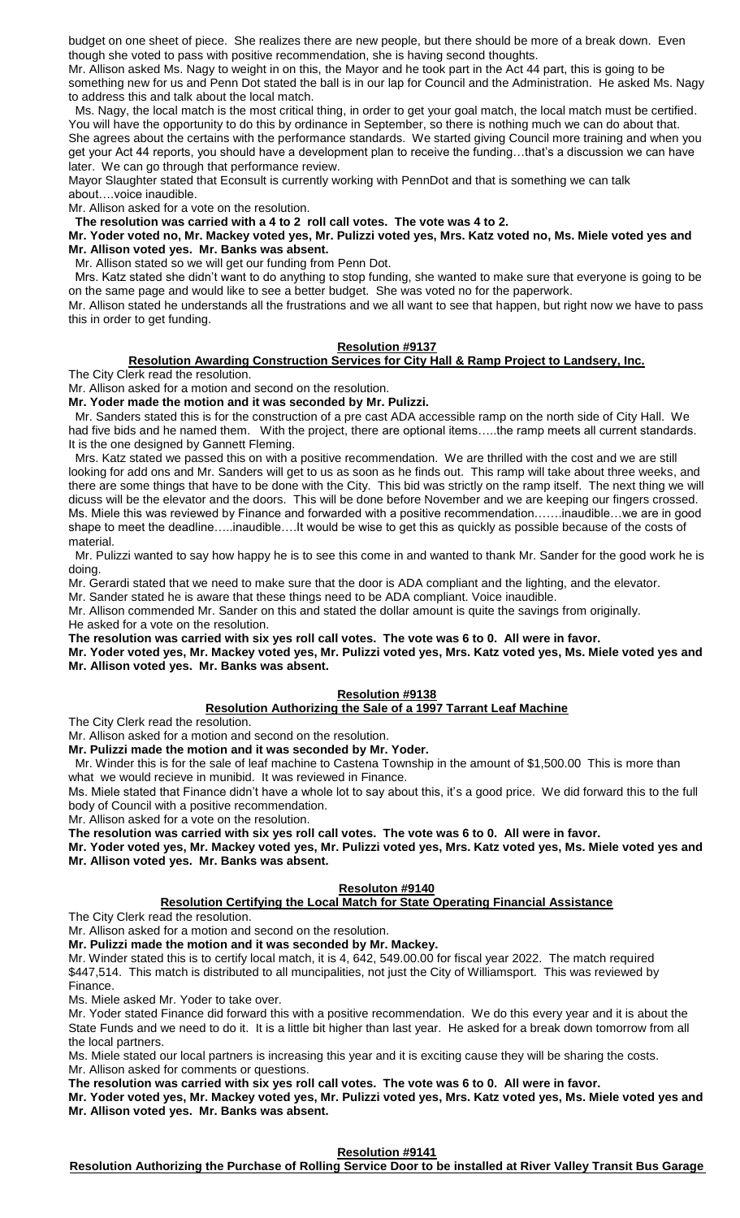budget on one sheet of piece. She realizes there are new people, but there should be more of a break down. Even though she voted to pass with positive recommendation, she is having second thoughts.

Mr. Allison asked Ms. Nagy to weight in on this, the Mayor and he took part in the Act 44 part, this is going to be something new for us and Penn Dot stated the ball is in our lap for Council and the Administration. He asked Ms. Nagy to address this and talk about the local match.

 Ms. Nagy, the local match is the most critical thing, in order to get your goal match, the local match must be certified. You will have the opportunity to do this by ordinance in September, so there is nothing much we can do about that. She agrees about the certains with the performance standards. We started giving Council more training and when you get your Act 44 reports, you should have a development plan to receive the funding…that's a discussion we can have later. We can go through that performance review.

Mayor Slaughter stated that Econsult is currently working with PennDot and that is something we can talk about….voice inaudible.

Mr. Allison asked for a vote on the resolution.

**The resolution was carried with a 4 to 2 roll call votes. The vote was 4 to 2.** 

#### **Mr. Yoder voted no, Mr. Mackey voted yes, Mr. Pulizzi voted yes, Mrs. Katz voted no, Ms. Miele voted yes and Mr. Allison voted yes. Mr. Banks was absent.**

Mr. Allison stated so we will get our funding from Penn Dot.

 Mrs. Katz stated she didn't want to do anything to stop funding, she wanted to make sure that everyone is going to be on the same page and would like to see a better budget. She was voted no for the paperwork.

Mr. Allison stated he understands all the frustrations and we all want to see that happen, but right now we have to pass this in order to get funding.

#### **Resolution #9137**

## **Resolution Awarding Construction Services for City Hall & Ramp Project to Landsery, Inc.**

The City Clerk read the resolution.

Mr. Allison asked for a motion and second on the resolution.

**Mr. Yoder made the motion and it was seconded by Mr. Pulizzi.**

 Mr. Sanders stated this is for the construction of a pre cast ADA accessible ramp on the north side of City Hall. We had five bids and he named them. With the project, there are optional items…..the ramp meets all current standards. It is the one designed by Gannett Fleming.

 Mrs. Katz stated we passed this on with a positive recommendation. We are thrilled with the cost and we are still looking for add ons and Mr. Sanders will get to us as soon as he finds out. This ramp will take about three weeks, and there are some things that have to be done with the City. This bid was strictly on the ramp itself. The next thing we will dicuss will be the elevator and the doors. This will be done before November and we are keeping our fingers crossed. Ms. Miele this was reviewed by Finance and forwarded with a positive recommendation…….inaudible…we are in good shape to meet the deadline…..inaudible….It would be wise to get this as quickly as possible because of the costs of material.

 Mr. Pulizzi wanted to say how happy he is to see this come in and wanted to thank Mr. Sander for the good work he is doing.

Mr. Gerardi stated that we need to make sure that the door is ADA compliant and the lighting, and the elevator.

Mr. Sander stated he is aware that these things need to be ADA compliant. Voice inaudible.

Mr. Allison commended Mr. Sander on this and stated the dollar amount is quite the savings from originally.

He asked for a vote on the resolution.

**The resolution was carried with six yes roll call votes. The vote was 6 to 0. All were in favor.**

**Mr. Yoder voted yes, Mr. Mackey voted yes, Mr. Pulizzi voted yes, Mrs. Katz voted yes, Ms. Miele voted yes and Mr. Allison voted yes. Mr. Banks was absent.**

#### **Resolution #9138**

#### **Resolution Authorizing the Sale of a 1997 Tarrant Leaf Machine**

The City Clerk read the resolution.

Mr. Allison asked for a motion and second on the resolution.

**Mr. Pulizzi made the motion and it was seconded by Mr. Yoder.**

 Mr. Winder this is for the sale of leaf machine to Castena Township in the amount of \$1,500.00 This is more than what we would recieve in munibid. It was reviewed in Finance.

Ms. Miele stated that Finance didn't have a whole lot to say about this, it's a good price. We did forward this to the full body of Council with a positive recommendation.

Mr. Allison asked for a vote on the resolution.

**The resolution was carried with six yes roll call votes. The vote was 6 to 0. All were in favor.**

**Mr. Yoder voted yes, Mr. Mackey voted yes, Mr. Pulizzi voted yes, Mrs. Katz voted yes, Ms. Miele voted yes and Mr. Allison voted yes. Mr. Banks was absent.**

#### **Resoluton #9140**

## **Resolution Certifying the Local Match for State Operating Financial Assistance**

The City Clerk read the resolution.

Mr. Allison asked for a motion and second on the resolution.

**Mr. Pulizzi made the motion and it was seconded by Mr. Mackey.**

Mr. Winder stated this is to certify local match, it is 4, 642, 549.00.00 for fiscal year 2022. The match required \$447,514. This match is distributed to all muncipalities, not just the City of Williamsport. This was reviewed by Finance.

Ms. Miele asked Mr. Yoder to take over.

Mr. Yoder stated Finance did forward this with a positive recommendation. We do this every year and it is about the State Funds and we need to do it. It is a little bit higher than last year. He asked for a break down tomorrow from all the local partners.

Ms. Miele stated our local partners is increasing this year and it is exciting cause they will be sharing the costs. Mr. Allison asked for comments or questions.

**The resolution was carried with six yes roll call votes. The vote was 6 to 0. All were in favor.**

**Mr. Yoder voted yes, Mr. Mackey voted yes, Mr. Pulizzi voted yes, Mrs. Katz voted yes, Ms. Miele voted yes and Mr. Allison voted yes. Mr. Banks was absent.**

**Resolution #9141**

**Resolution Authorizing the Purchase of Rolling Service Door to be installed at River Valley Transit Bus Garage**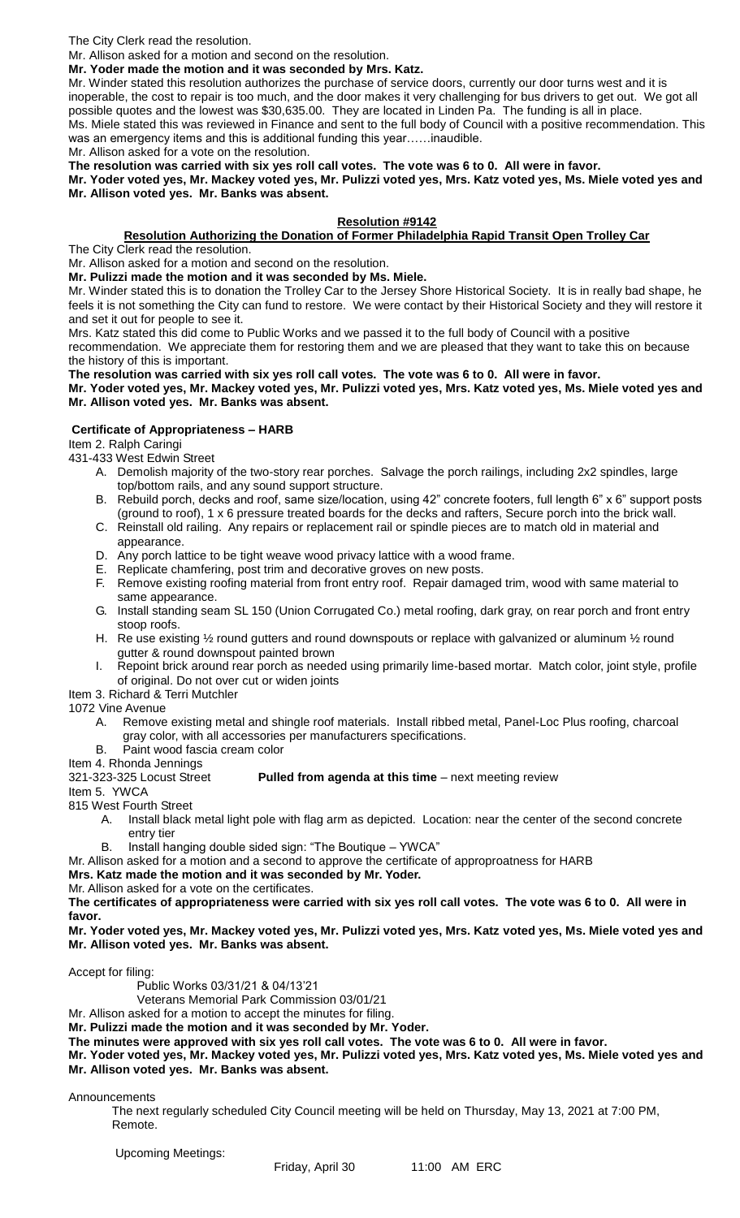The City Clerk read the resolution.

Mr. Allison asked for a motion and second on the resolution.

**Mr. Yoder made the motion and it was seconded by Mrs. Katz.**

Mr. Winder stated this resolution authorizes the purchase of service doors, currently our door turns west and it is inoperable, the cost to repair is too much, and the door makes it very challenging for bus drivers to get out. We got all possible quotes and the lowest was \$30,635.00. They are located in Linden Pa. The funding is all in place. Ms. Miele stated this was reviewed in Finance and sent to the full body of Council with a positive recommendation. This was an emergency items and this is additional funding this year......inaudible.

Mr. Allison asked for a vote on the resolution.

**The resolution was carried with six yes roll call votes. The vote was 6 to 0. All were in favor.**

**Mr. Yoder voted yes, Mr. Mackey voted yes, Mr. Pulizzi voted yes, Mrs. Katz voted yes, Ms. Miele voted yes and Mr. Allison voted yes. Mr. Banks was absent.**

## **Resolution #9142**

# **Resolution Authorizing the Donation of Former Philadelphia Rapid Transit Open Trolley Car**

The City Clerk read the resolution.

Mr. Allison asked for a motion and second on the resolution.

**Mr. Pulizzi made the motion and it was seconded by Ms. Miele.**

Mr. Winder stated this is to donation the Trolley Car to the Jersey Shore Historical Society. It is in really bad shape, he feels it is not something the City can fund to restore. We were contact by their Historical Society and they will restore it and set it out for people to see it.

Mrs. Katz stated this did come to Public Works and we passed it to the full body of Council with a positive

recommendation. We appreciate them for restoring them and we are pleased that they want to take this on because the history of this is important.

**The resolution was carried with six yes roll call votes. The vote was 6 to 0. All were in favor.**

**Mr. Yoder voted yes, Mr. Mackey voted yes, Mr. Pulizzi voted yes, Mrs. Katz voted yes, Ms. Miele voted yes and Mr. Allison voted yes. Mr. Banks was absent.**

## **Certificate of Appropriateness – HARB**

Item 2. Ralph Caringi

431-433 West Edwin Street

- A. Demolish majority of the two-story rear porches. Salvage the porch railings, including 2x2 spindles, large top/bottom rails, and any sound support structure.
- B. Rebuild porch, decks and roof, same size/location, using 42" concrete footers, full length 6" x 6" support posts (ground to roof), 1 x 6 pressure treated boards for the decks and rafters, Secure porch into the brick wall.
- C. Reinstall old railing. Any repairs or replacement rail or spindle pieces are to match old in material and
- appearance.
- D. Any porch lattice to be tight weave wood privacy lattice with a wood frame.
- E. Replicate chamfering, post trim and decorative groves on new posts.
- F. Remove existing roofing material from front entry roof. Repair damaged trim, wood with same material to same appearance.
- G. Install standing seam SL 150 (Union Corrugated Co.) metal roofing, dark gray, on rear porch and front entry stoop roofs.
- H. Re use existing 1/2 round gutters and round downspouts or replace with galvanized or aluminum 1/2 round gutter & round downspout painted brown
- I. Repoint brick around rear porch as needed using primarily lime-based mortar. Match color, joint style, profile of original. Do not over cut or widen joints

Item 3. Richard & Terri Mutchler

1072 Vine Avenue

- A. Remove existing metal and shingle roof materials. Install ribbed metal, Panel-Loc Plus roofing, charcoal gray color, with all accessories per manufacturers specifications.
- B. Paint wood fascia cream color

Item 4. Rhonda Jennings

## 321-323-325 Locust Street **Pulled from agenda at this time** – next meeting review

Item 5. YWCA

815 West Fourth Street

- A. Install black metal light pole with flag arm as depicted. Location: near the center of the second concrete entry tier
- B. Install hanging double sided sign: "The Boutique YWCA"

Mr. Allison asked for a motion and a second to approve the certificate of approproatness for HARB

**Mrs. Katz made the motion and it was seconded by Mr. Yoder.**

Mr. Allison asked for a vote on the certificates.

**The certificates of appropriateness were carried with six yes roll call votes. The vote was 6 to 0. All were in favor.**

**Mr. Yoder voted yes, Mr. Mackey voted yes, Mr. Pulizzi voted yes, Mrs. Katz voted yes, Ms. Miele voted yes and Mr. Allison voted yes. Mr. Banks was absent.**

Accept for filing:

Public Works 03/31/21 & 04/13'21

Veterans Memorial Park Commission 03/01/21

Mr. Allison asked for a motion to accept the minutes for filing.

**Mr. Pulizzi made the motion and it was seconded by Mr. Yoder.**

**The minutes were approved with six yes roll call votes. The vote was 6 to 0. All were in favor.**

**Mr. Yoder voted yes, Mr. Mackey voted yes, Mr. Pulizzi voted yes, Mrs. Katz voted yes, Ms. Miele voted yes and Mr. Allison voted yes. Mr. Banks was absent.**

Announcements

The next regularly scheduled City Council meeting will be held on Thursday, May 13, 2021 at 7:00 PM, Remote.

Upcoming Meetings: